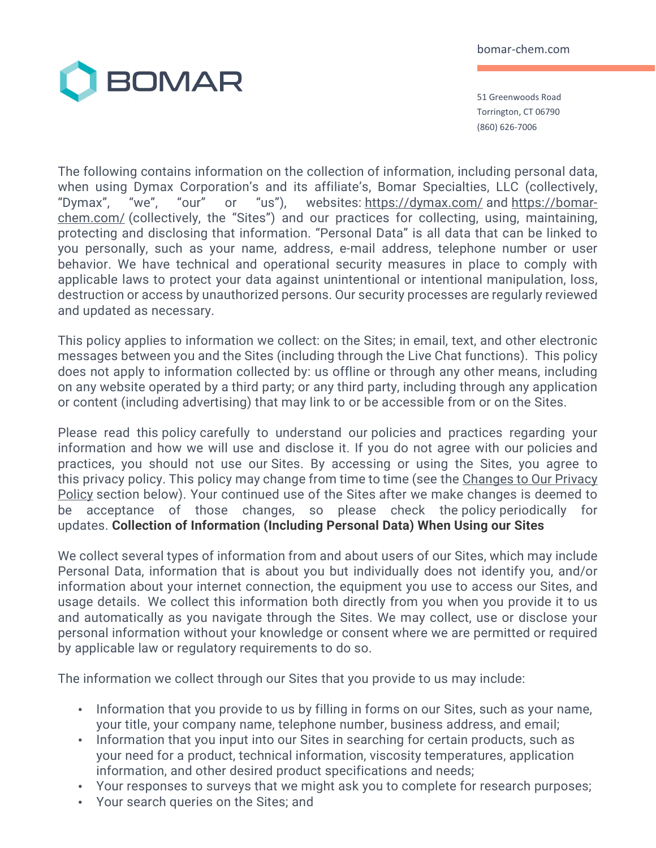

51 Greenwoods Road Torrington, CT 06790 (860) 626-7006

The following contains information on the collection of information, including personal data, when using Dymax Corporation's and its affiliate's, Bomar Specialties, LLC (collectively, "Dymax", "we", "our" or "us"), websites: https://dymax.com/ and https://bomarchem.com/ (collectively, the "Sites") and our practices for collecting, using, maintaining, protecting and disclosing that information. "Personal Data" is all data that can be linked to you personally, such as your name, address, e-mail address, telephone number or user behavior. We have technical and operational security measures in place to comply with applicable laws to protect your data against unintentional or intentional manipulation, loss, destruction or access by unauthorized persons. Our security processes are regularly reviewed and updated as necessary.

This policy applies to information we collect: on the Sites; in email, text, and other electronic messages between you and the Sites (including through the Live Chat functions). This policy does not apply to information collected by: us offline or through any other means, including on any website operated by a third party; or any third party, including through any application or content (including advertising) that may link to or be accessible from or on the Sites.

Please read this policy carefully to understand our policies and practices regarding your information and how we will use and disclose it. If you do not agree with our policies and practices, you should not use our Sites. By accessing or using the Sites, you agree to this privacy policy. This policy may change from time to time (see the Changes to Our Privacy Policy section below). Your continued use of the Sites after we make changes is deemed to be acceptance of those changes, so please check the policy periodically for updates. **Collection of Information (Including Personal Data) When Using our Sites**

We collect several types of information from and about users of our Sites, which may include Personal Data, information that is about you but individually does not identify you, and/or information about your internet connection, the equipment you use to access our Sites, and usage details. We collect this information both directly from you when you provide it to us and automatically as you navigate through the Sites. We may collect, use or disclose your personal information without your knowledge or consent where we are permitted or required by applicable law or regulatory requirements to do so.

The information we collect through our Sites that you provide to us may include:

- Information that you provide to us by filling in forms on our Sites, such as your name, your title, your company name, telephone number, business address, and email;
- Information that you input into our Sites in searching for certain products, such as your need for a product, technical information, viscosity temperatures, application information, and other desired product specifications and needs;
- Your responses to surveys that we might ask you to complete for research purposes;
- Your search queries on the Sites; and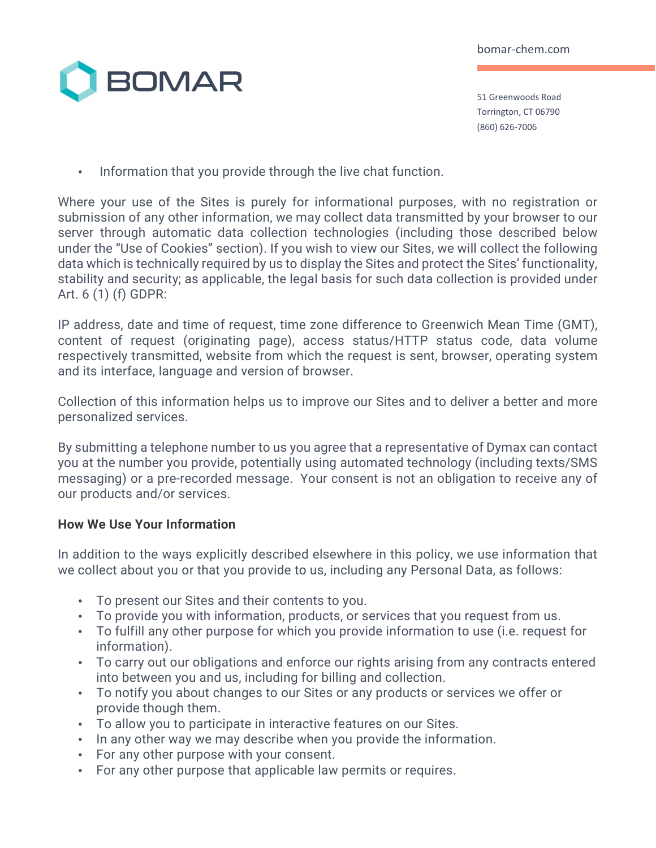

51 Greenwoods Road Torrington, CT 06790 (860) 626-7006

• Information that you provide through the live chat function.

Where your use of the Sites is purely for informational purposes, with no registration or submission of any other information, we may collect data transmitted by your browser to our server through automatic data collection technologies (including those described below under the "Use of Cookies" section). If you wish to view our Sites, we will collect the following data which is technically required by us to display the Sites and protect the Sites' functionality, stability and security; as applicable, the legal basis for such data collection is provided under Art. 6 (1) (f) GDPR:

IP address, date and time of request, time zone difference to Greenwich Mean Time (GMT), content of request (originating page), access status/HTTP status code, data volume respectively transmitted, website from which the request is sent, browser, operating system and its interface, language and version of browser.

Collection of this information helps us to improve our Sites and to deliver a better and more personalized services.

By submitting a telephone number to us you agree that a representative of Dymax can contact you at the number you provide, potentially using automated technology (including texts/SMS messaging) or a pre-recorded message. Your consent is not an obligation to receive any of our products and/or services.

## **How We Use Your Information**

In addition to the ways explicitly described elsewhere in this policy, we use information that we collect about you or that you provide to us, including any Personal Data, as follows:

- To present our Sites and their contents to you.
- To provide you with information, products, or services that you request from us.
- To fulfill any other purpose for which you provide information to use (i.e. request for information).
- To carry out our obligations and enforce our rights arising from any contracts entered into between you and us, including for billing and collection.
- To notify you about changes to our Sites or any products or services we offer or provide though them.
- To allow you to participate in interactive features on our Sites.
- In any other way we may describe when you provide the information.
- For any other purpose with your consent.
- For any other purpose that applicable law permits or requires.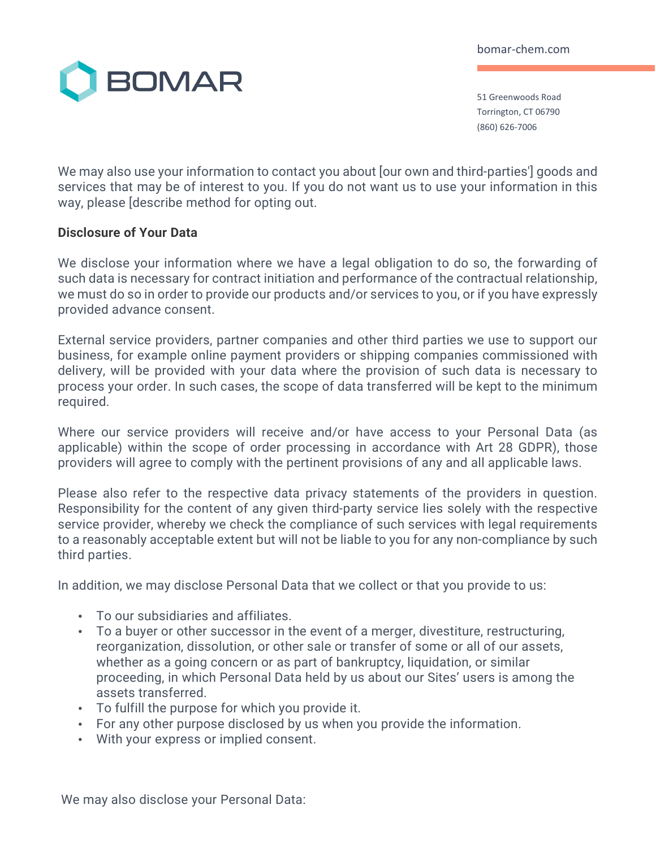

51 Greenwoods Road Torrington, CT 06790 (860) 626-7006

We may also use your information to contact you about [our own and third-parties'] goods and services that may be of interest to you. If you do not want us to use your information in this way, please [describe method for opting out.

### **Disclosure of Your Data**

We disclose your information where we have a legal obligation to do so, the forwarding of such data is necessary for contract initiation and performance of the contractual relationship, we must do so in order to provide our products and/or services to you, or if you have expressly provided advance consent.

External service providers, partner companies and other third parties we use to support our business, for example online payment providers or shipping companies commissioned with delivery, will be provided with your data where the provision of such data is necessary to process your order. In such cases, the scope of data transferred will be kept to the minimum required.

Where our service providers will receive and/or have access to your Personal Data (as applicable) within the scope of order processing in accordance with Art 28 GDPR), those providers will agree to comply with the pertinent provisions of any and all applicable laws.

Please also refer to the respective data privacy statements of the providers in question. Responsibility for the content of any given third-party service lies solely with the respective service provider, whereby we check the compliance of such services with legal requirements to a reasonably acceptable extent but will not be liable to you for any non-compliance by such third parties.

In addition, we may disclose Personal Data that we collect or that you provide to us:

- To our subsidiaries and affiliates.
- To a buyer or other successor in the event of a merger, divestiture, restructuring, reorganization, dissolution, or other sale or transfer of some or all of our assets, whether as a going concern or as part of bankruptcy, liquidation, or similar proceeding, in which Personal Data held by us about our Sites' users is among the assets transferred.
- To fulfill the purpose for which you provide it.
- For any other purpose disclosed by us when you provide the information.
- With your express or implied consent.

We may also disclose your Personal Data: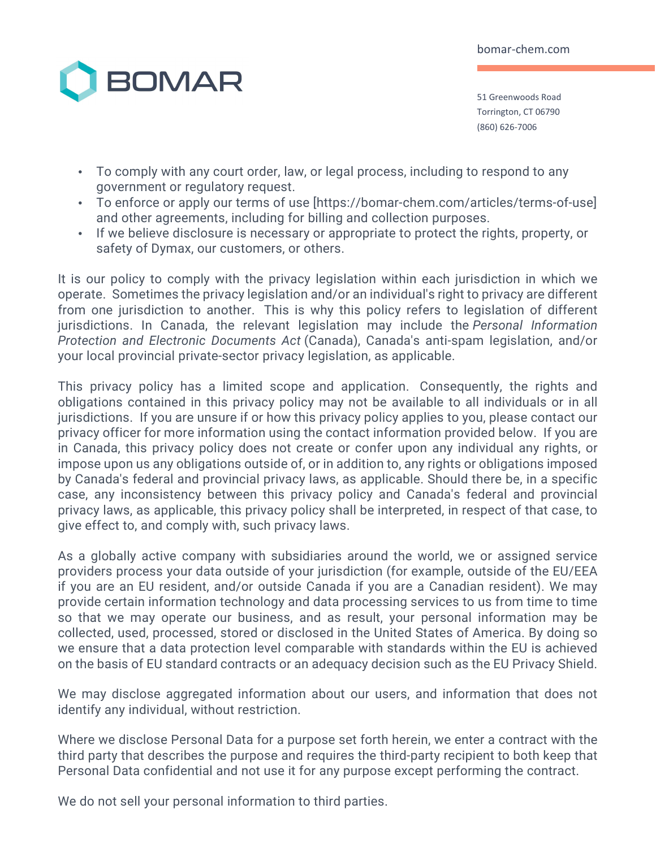

51 Greenwoods Road Torrington, CT 06790 (860) 626-7006

- To comply with any court order, law, or legal process, including to respond to any government or regulatory request.
- To enforce or apply our terms of use [https://bomar-chem.com/articles/terms-of-use] and other agreements, including for billing and collection purposes.
- If we believe disclosure is necessary or appropriate to protect the rights, property, or safety of Dymax, our customers, or others.

It is our policy to comply with the privacy legislation within each jurisdiction in which we operate. Sometimes the privacy legislation and/or an individual's right to privacy are different from one jurisdiction to another. This is why this policy refers to legislation of different jurisdictions. In Canada, the relevant legislation may include the *Personal Information Protection and Electronic Documents Act* (Canada), Canada's anti-spam legislation, and/or your local provincial private-sector privacy legislation, as applicable.

This privacy policy has a limited scope and application. Consequently, the rights and obligations contained in this privacy policy may not be available to all individuals or in all jurisdictions. If you are unsure if or how this privacy policy applies to you, please contact our privacy officer for more information using the contact information provided below. If you are in Canada, this privacy policy does not create or confer upon any individual any rights, or impose upon us any obligations outside of, or in addition to, any rights or obligations imposed by Canada's federal and provincial privacy laws, as applicable. Should there be, in a specific case, any inconsistency between this privacy policy and Canada's federal and provincial privacy laws, as applicable, this privacy policy shall be interpreted, in respect of that case, to give effect to, and comply with, such privacy laws.

As a globally active company with subsidiaries around the world, we or assigned service providers process your data outside of your jurisdiction (for example, outside of the EU/EEA if you are an EU resident, and/or outside Canada if you are a Canadian resident). We may provide certain information technology and data processing services to us from time to time so that we may operate our business, and as result, your personal information may be collected, used, processed, stored or disclosed in the United States of America. By doing so we ensure that a data protection level comparable with standards within the EU is achieved on the basis of EU standard contracts or an adequacy decision such as the EU Privacy Shield.

We may disclose aggregated information about our users, and information that does not identify any individual, without restriction.

Where we disclose Personal Data for a purpose set forth herein, we enter a contract with the third party that describes the purpose and requires the third-party recipient to both keep that Personal Data confidential and not use it for any purpose except performing the contract.

We do not sell your personal information to third parties.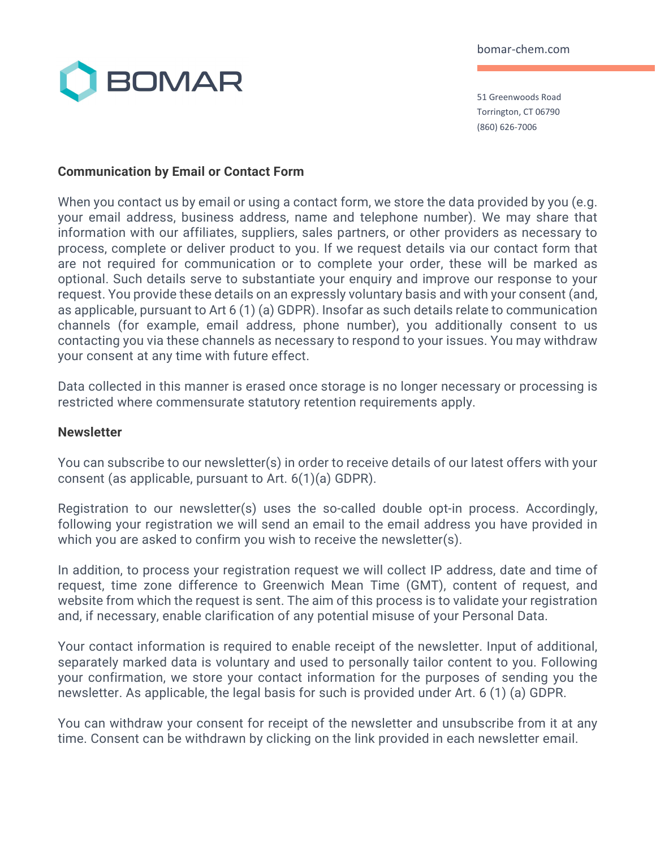

51 Greenwoods Road Torrington, CT 06790 (860) 626-7006

## **Communication by Email or Contact Form**

When you contact us by email or using a contact form, we store the data provided by you (e.g. your email address, business address, name and telephone number). We may share that information with our affiliates, suppliers, sales partners, or other providers as necessary to process, complete or deliver product to you. If we request details via our contact form that are not required for communication or to complete your order, these will be marked as optional. Such details serve to substantiate your enquiry and improve our response to your request. You provide these details on an expressly voluntary basis and with your consent (and, as applicable, pursuant to Art 6 (1) (a) GDPR). Insofar as such details relate to communication channels (for example, email address, phone number), you additionally consent to us contacting you via these channels as necessary to respond to your issues. You may withdraw your consent at any time with future effect.

Data collected in this manner is erased once storage is no longer necessary or processing is restricted where commensurate statutory retention requirements apply.

#### **Newsletter**

You can subscribe to our newsletter(s) in order to receive details of our latest offers with your consent (as applicable, pursuant to Art. 6(1)(a) GDPR).

Registration to our newsletter(s) uses the so-called double opt-in process. Accordingly, following your registration we will send an email to the email address you have provided in which you are asked to confirm you wish to receive the newsletter(s).

In addition, to process your registration request we will collect IP address, date and time of request, time zone difference to Greenwich Mean Time (GMT), content of request, and website from which the request is sent. The aim of this process is to validate your registration and, if necessary, enable clarification of any potential misuse of your Personal Data.

Your contact information is required to enable receipt of the newsletter. Input of additional, separately marked data is voluntary and used to personally tailor content to you. Following your confirmation, we store your contact information for the purposes of sending you the newsletter. As applicable, the legal basis for such is provided under Art. 6 (1) (a) GDPR.

You can withdraw your consent for receipt of the newsletter and unsubscribe from it at any time. Consent can be withdrawn by clicking on the link provided in each newsletter email.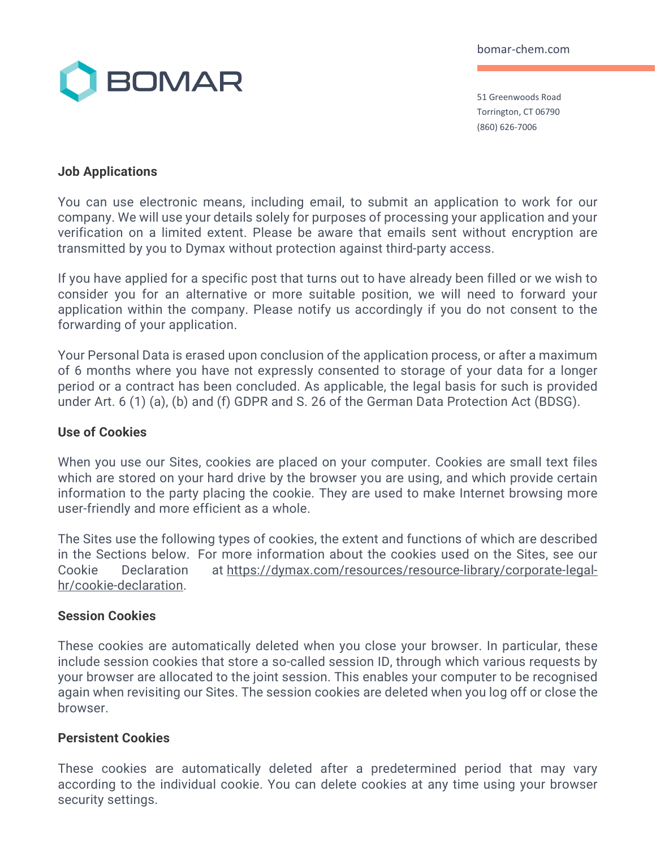

51 Greenwoods Road Torrington, CT 06790 (860) 626-7006

### **Job Applications**

You can use electronic means, including email, to submit an application to work for our company. We will use your details solely for purposes of processing your application and your verification on a limited extent. Please be aware that emails sent without encryption are transmitted by you to Dymax without protection against third-party access.

If you have applied for a specific post that turns out to have already been filled or we wish to consider you for an alternative or more suitable position, we will need to forward your application within the company. Please notify us accordingly if you do not consent to the forwarding of your application.

Your Personal Data is erased upon conclusion of the application process, or after a maximum of 6 months where you have not expressly consented to storage of your data for a longer period or a contract has been concluded. As applicable, the legal basis for such is provided under Art. 6 (1) (a), (b) and (f) GDPR and S. 26 of the German Data Protection Act (BDSG).

#### **Use of Cookies**

When you use our Sites, cookies are placed on your computer. Cookies are small text files which are stored on your hard drive by the browser you are using, and which provide certain information to the party placing the cookie. They are used to make Internet browsing more user-friendly and more efficient as a whole.

The Sites use the following types of cookies, the extent and functions of which are described in the Sections below. For more information about the cookies used on the Sites, see our Cookie Declaration at https://dymax.com/resources/resource-library/corporate-legalhr/cookie-declaration.

#### **Session Cookies**

These cookies are automatically deleted when you close your browser. In particular, these include session cookies that store a so-called session ID, through which various requests by your browser are allocated to the joint session. This enables your computer to be recognised again when revisiting our Sites. The session cookies are deleted when you log off or close the browser.

## **Persistent Cookies**

These cookies are automatically deleted after a predetermined period that may vary according to the individual cookie. You can delete cookies at any time using your browser security settings.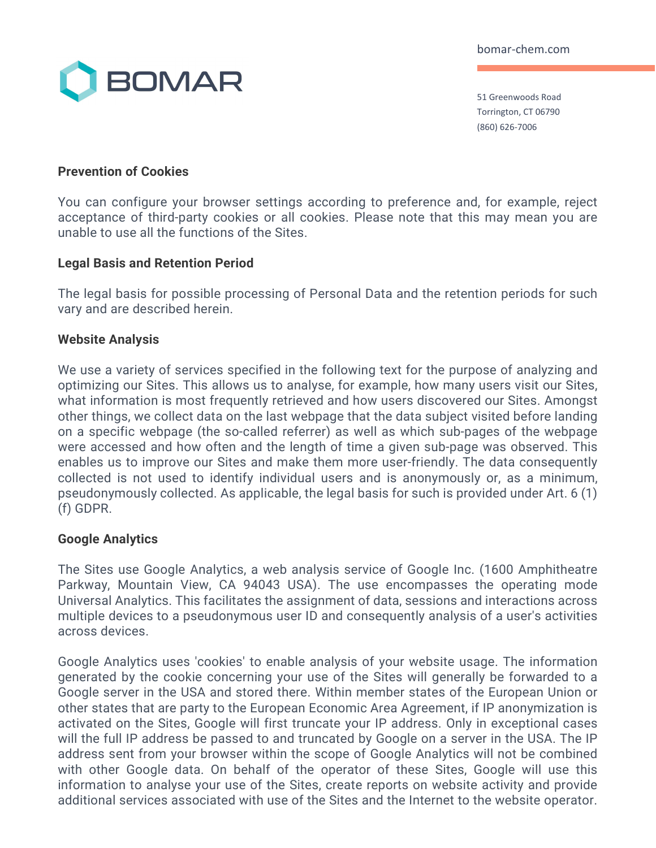

51 Greenwoods Road Torrington, CT 06790 (860) 626-7006

### **Prevention of Cookies**

You can configure your browser settings according to preference and, for example, reject acceptance of third-party cookies or all cookies. Please note that this may mean you are unable to use all the functions of the Sites.

### **Legal Basis and Retention Period**

The legal basis for possible processing of Personal Data and the retention periods for such vary and are described herein.

### **Website Analysis**

We use a variety of services specified in the following text for the purpose of analyzing and optimizing our Sites. This allows us to analyse, for example, how many users visit our Sites, what information is most frequently retrieved and how users discovered our Sites. Amongst other things, we collect data on the last webpage that the data subject visited before landing on a specific webpage (the so-called referrer) as well as which sub-pages of the webpage were accessed and how often and the length of time a given sub-page was observed. This enables us to improve our Sites and make them more user-friendly. The data consequently collected is not used to identify individual users and is anonymously or, as a minimum, pseudonymously collected. As applicable, the legal basis for such is provided under Art. 6 (1) (f) GDPR.

#### **Google Analytics**

The Sites use Google Analytics, a web analysis service of Google Inc. (1600 Amphitheatre Parkway, Mountain View, CA 94043 USA). The use encompasses the operating mode Universal Analytics. This facilitates the assignment of data, sessions and interactions across multiple devices to a pseudonymous user ID and consequently analysis of a user's activities across devices.

Google Analytics uses 'cookies' to enable analysis of your website usage. The information generated by the cookie concerning your use of the Sites will generally be forwarded to a Google server in the USA and stored there. Within member states of the European Union or other states that are party to the European Economic Area Agreement, if IP anonymization is activated on the Sites, Google will first truncate your IP address. Only in exceptional cases will the full IP address be passed to and truncated by Google on a server in the USA. The IP address sent from your browser within the scope of Google Analytics will not be combined with other Google data. On behalf of the operator of these Sites, Google will use this information to analyse your use of the Sites, create reports on website activity and provide additional services associated with use of the Sites and the Internet to the website operator.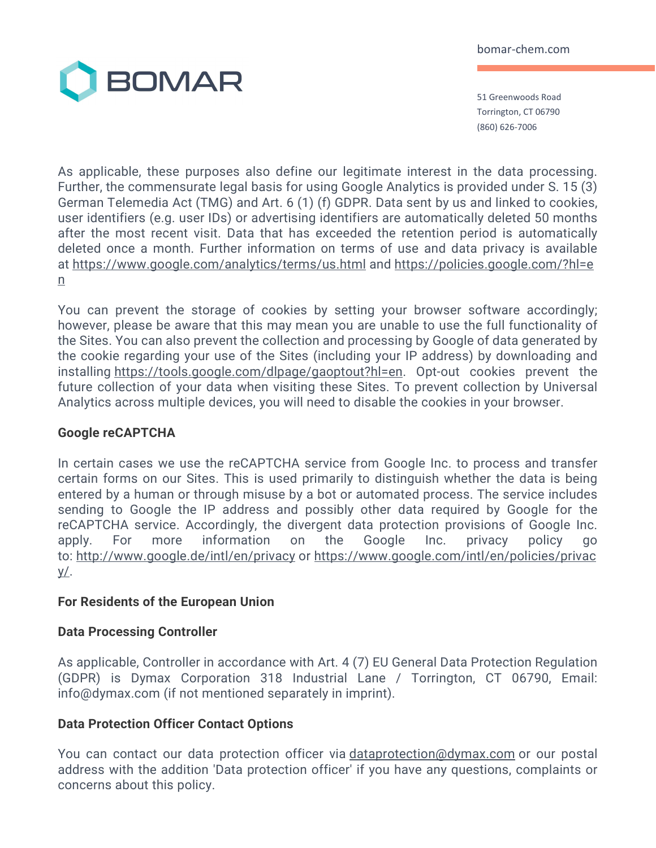

51 Greenwoods Road Torrington, CT 06790 (860) 626-7006

As applicable, these purposes also define our legitimate interest in the data processing. Further, the commensurate legal basis for using Google Analytics is provided under S. 15 (3) German Telemedia Act (TMG) and Art. 6 (1) (f) GDPR. Data sent by us and linked to cookies, user identifiers (e.g. user IDs) or advertising identifiers are automatically deleted 50 months after the most recent visit. Data that has exceeded the retention period is automatically deleted once a month. Further information on terms of use and data privacy is available at https://www.google.com/analytics/terms/us.html and https://policies.google.com/?hl=e n

You can prevent the storage of cookies by setting your browser software accordingly; however, please be aware that this may mean you are unable to use the full functionality of the Sites. You can also prevent the collection and processing by Google of data generated by the cookie regarding your use of the Sites (including your IP address) by downloading and installing https://tools.google.com/dlpage/gaoptout?hl=en. Opt-out cookies prevent the future collection of your data when visiting these Sites. To prevent collection by Universal Analytics across multiple devices, you will need to disable the cookies in your browser.

## **Google reCAPTCHA**

In certain cases we use the reCAPTCHA service from Google Inc. to process and transfer certain forms on our Sites. This is used primarily to distinguish whether the data is being entered by a human or through misuse by a bot or automated process. The service includes sending to Google the IP address and possibly other data required by Google for the reCAPTCHA service. Accordingly, the divergent data protection provisions of Google Inc. apply. For more information on the Google Inc. privacy policy go to: http://www.google.de/intl/en/privacy or https://www.google.com/intl/en/policies/privac y/.

#### **For Residents of the European Union**

#### **Data Processing Controller**

As applicable, Controller in accordance with Art. 4 (7) EU General Data Protection Regulation (GDPR) is Dymax Corporation 318 Industrial Lane / Torrington, CT 06790, Email: info@dymax.com (if not mentioned separately in imprint).

#### **Data Protection Officer Contact Options**

You can contact our data protection officer via *dataprotection*@dymax.com or our postal address with the addition 'Data protection officer' if you have any questions, complaints or concerns about this policy.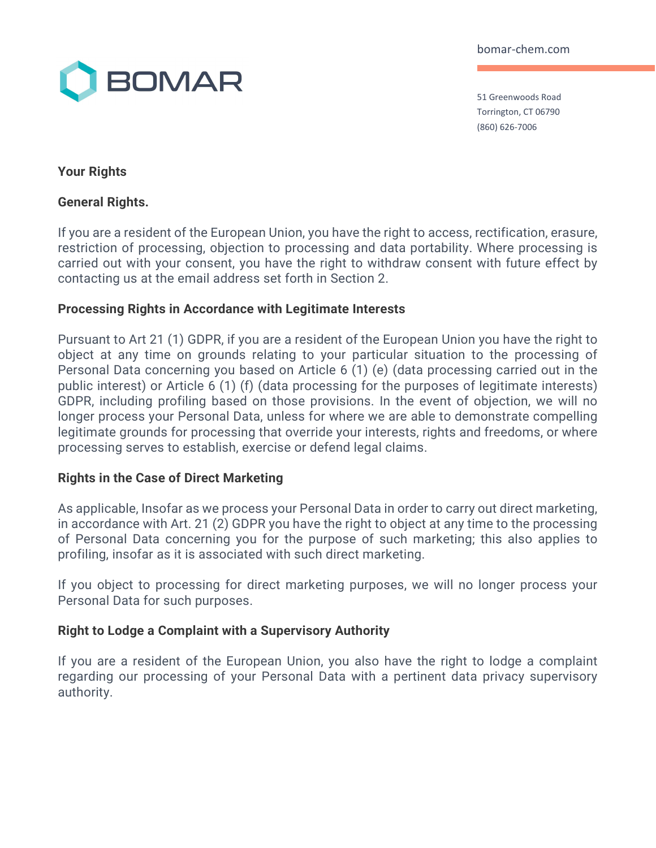

51 Greenwoods Road Torrington, CT 06790 (860) 626-7006

# **Your Rights**

## **General Rights.**

If you are a resident of the European Union, you have the right to access, rectification, erasure, restriction of processing, objection to processing and data portability. Where processing is carried out with your consent, you have the right to withdraw consent with future effect by contacting us at the email address set forth in Section 2.

## **Processing Rights in Accordance with Legitimate Interests**

Pursuant to Art 21 (1) GDPR, if you are a resident of the European Union you have the right to object at any time on grounds relating to your particular situation to the processing of Personal Data concerning you based on Article 6 (1) (e) (data processing carried out in the public interest) or Article 6 (1) (f) (data processing for the purposes of legitimate interests) GDPR, including profiling based on those provisions. In the event of objection, we will no longer process your Personal Data, unless for where we are able to demonstrate compelling legitimate grounds for processing that override your interests, rights and freedoms, or where processing serves to establish, exercise or defend legal claims.

#### **Rights in the Case of Direct Marketing**

As applicable, Insofar as we process your Personal Data in order to carry out direct marketing, in accordance with Art. 21 (2) GDPR you have the right to object at any time to the processing of Personal Data concerning you for the purpose of such marketing; this also applies to profiling, insofar as it is associated with such direct marketing.

If you object to processing for direct marketing purposes, we will no longer process your Personal Data for such purposes.

## **Right to Lodge a Complaint with a Supervisory Authority**

If you are a resident of the European Union, you also have the right to lodge a complaint regarding our processing of your Personal Data with a pertinent data privacy supervisory authority.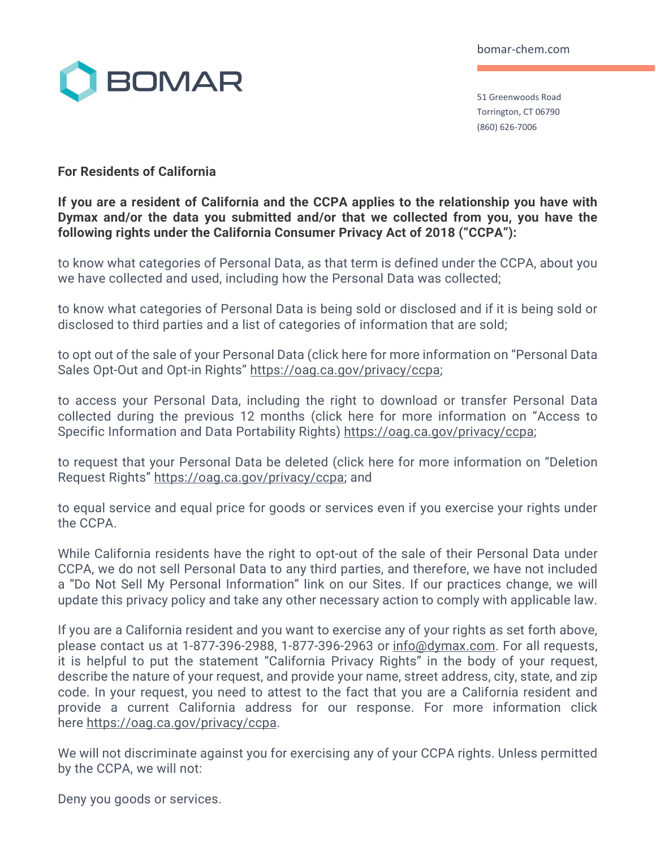

51 Greenwoods Road Torrington, CT 06790 (860) 626-7006

## **For Residents of California**

## **If you are a resident of California and the CCPA applies to the relationship you have with Dymax and/or the data you submitted and/or that we collected from you, you have the following rights under the California Consumer Privacy Act of 2018 ("CCPA"):**

to know what categories of Personal Data, as that term is defined under the CCPA, about you we have collected and used, including how the Personal Data was collected;

to know what categories of Personal Data is being sold or disclosed and if it is being sold or disclosed to third parties and a list of categories of information that are sold;

to opt out of the sale of your Personal Data (click here for more information on "Personal Data Sales Opt-Out and Opt-in Rights" https://oag.ca.gov/privacy/ccpa;

to access your Personal Data, including the right to download or transfer Personal Data collected during the previous 12 months (click here for more information on "Access to Specific Information and Data Portability Rights) https://oag.ca.gov/privacy/ccpa;

to request that your Personal Data be deleted (click here for more information on "Deletion Request Rights" https://oag.ca.gov/privacy/ccpa; and

to equal service and equal price for goods or services even if you exercise your rights under the CCPA.

While California residents have the right to opt-out of the sale of their Personal Data under CCPA, we do not sell Personal Data to any third parties, and therefore, we have not included a "Do Not Sell My Personal Information" link on our Sites. If our practices change, we will update this privacy policy and take any other necessary action to comply with applicable law.

If you are a California resident and you want to exercise any of your rights as set forth above, please contact us at 1-877-396-2988, 1-877-396-2963 or info@dymax.com. For all requests, it is helpful to put the statement "California Privacy Rights" in the body of your request, describe the nature of your request, and provide your name, street address, city, state, and zip code. In your request, you need to attest to the fact that you are a California resident and provide a current California address for our response. For more information click here https://oag.ca.gov/privacy/ccpa.

We will not discriminate against you for exercising any of your CCPA rights. Unless permitted by the CCPA, we will not:

Deny you goods or services.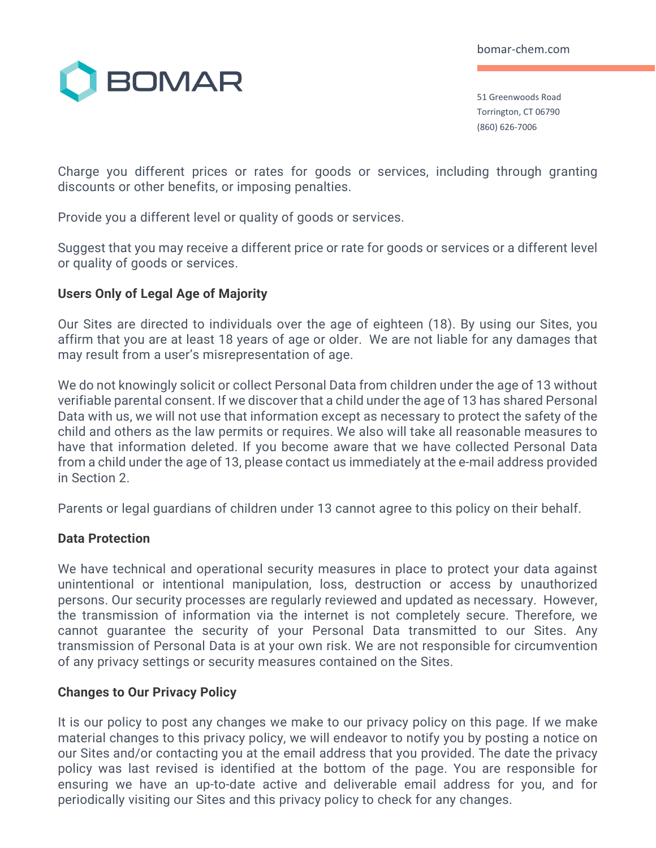

51 Greenwoods Road Torrington, CT 06790 (860) 626-7006

Charge you different prices or rates for goods or services, including through granting discounts or other benefits, or imposing penalties.

Provide you a different level or quality of goods or services.

Suggest that you may receive a different price or rate for goods or services or a different level or quality of goods or services.

## **Users Only of Legal Age of Majority**

Our Sites are directed to individuals over the age of eighteen (18). By using our Sites, you affirm that you are at least 18 years of age or older. We are not liable for any damages that may result from a user's misrepresentation of age.

We do not knowingly solicit or collect Personal Data from children under the age of 13 without verifiable parental consent. If we discover that a child under the age of 13 has shared Personal Data with us, we will not use that information except as necessary to protect the safety of the child and others as the law permits or requires. We also will take all reasonable measures to have that information deleted. If you become aware that we have collected Personal Data from a child under the age of 13, please contact us immediately at the e-mail address provided in Section 2.

Parents or legal guardians of children under 13 cannot agree to this policy on their behalf.

## **Data Protection**

We have technical and operational security measures in place to protect your data against unintentional or intentional manipulation, loss, destruction or access by unauthorized persons. Our security processes are regularly reviewed and updated as necessary. However, the transmission of information via the internet is not completely secure. Therefore, we cannot guarantee the security of your Personal Data transmitted to our Sites. Any transmission of Personal Data is at your own risk. We are not responsible for circumvention of any privacy settings or security measures contained on the Sites.

## **Changes to Our Privacy Policy**

It is our policy to post any changes we make to our privacy policy on this page. If we make material changes to this privacy policy, we will endeavor to notify you by posting a notice on our Sites and/or contacting you at the email address that you provided. The date the privacy policy was last revised is identified at the bottom of the page. You are responsible for ensuring we have an up-to-date active and deliverable email address for you, and for periodically visiting our Sites and this privacy policy to check for any changes.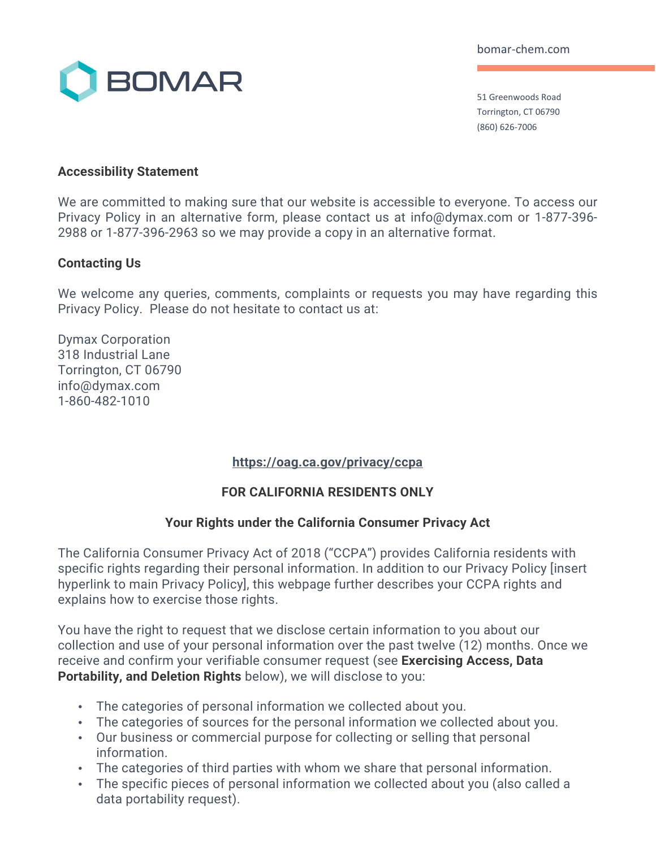

51 Greenwoods Road Torrington, CT 06790 (860) 626-7006

### **Accessibility Statement**

We are committed to making sure that our website is accessible to everyone. To access our Privacy Policy in an alternative form, please contact us at info@dymax.com or 1-877-396- 2988 or 1-877-396-2963 so we may provide a copy in an alternative format.

### **Contacting Us**

We welcome any queries, comments, complaints or requests you may have regarding this Privacy Policy. Please do not hesitate to contact us at:

Dymax Corporation 318 Industrial Lane Torrington, CT 06790 info@dymax.com 1-860-482-1010

## **https://oag.ca.gov/privacy/ccpa**

## **FOR CALIFORNIA RESIDENTS ONLY**

#### **Your Rights under the California Consumer Privacy Act**

The California Consumer Privacy Act of 2018 ("CCPA") provides California residents with specific rights regarding their personal information. In addition to our Privacy Policy [insert hyperlink to main Privacy Policy], this webpage further describes your CCPA rights and explains how to exercise those rights.

You have the right to request that we disclose certain information to you about our collection and use of your personal information over the past twelve (12) months. Once we receive and confirm your verifiable consumer request (see **Exercising Access, Data Portability, and Deletion Rights** below), we will disclose to you:

- The categories of personal information we collected about you.
- The categories of sources for the personal information we collected about you.
- Our business or commercial purpose for collecting or selling that personal information.
- The categories of third parties with whom we share that personal information.
- The specific pieces of personal information we collected about you (also called a data portability request).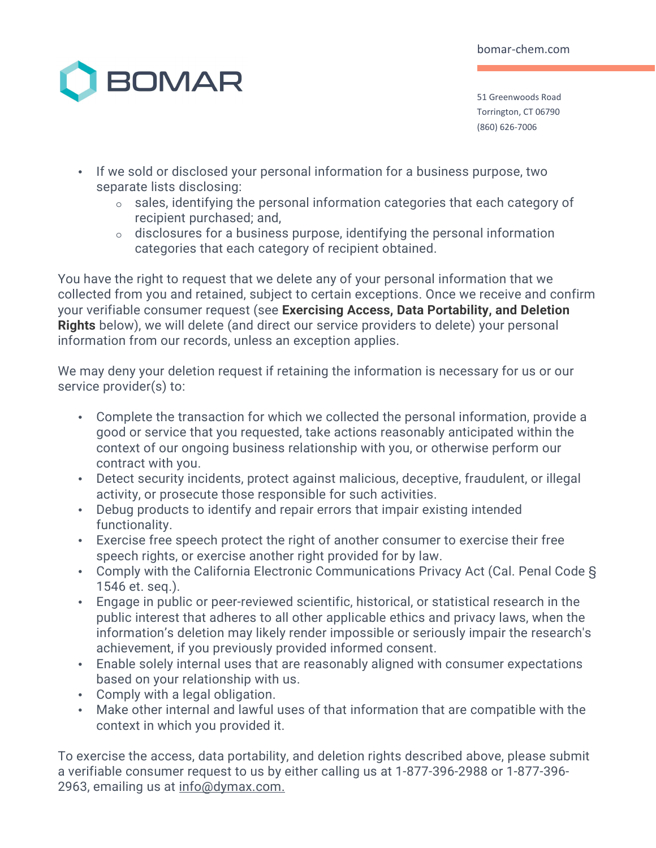

51 Greenwoods Road Torrington, CT 06790 (860) 626-7006

- If we sold or disclosed your personal information for a business purpose, two separate lists disclosing:
	- o sales, identifying the personal information categories that each category of recipient purchased; and,
	- o disclosures for a business purpose, identifying the personal information categories that each category of recipient obtained.

You have the right to request that we delete any of your personal information that we collected from you and retained, subject to certain exceptions. Once we receive and confirm your verifiable consumer request (see **Exercising Access, Data Portability, and Deletion Rights** below), we will delete (and direct our service providers to delete) your personal information from our records, unless an exception applies.

We may deny your deletion request if retaining the information is necessary for us or our service provider(s) to:

- Complete the transaction for which we collected the personal information, provide a good or service that you requested, take actions reasonably anticipated within the context of our ongoing business relationship with you, or otherwise perform our contract with you.
- Detect security incidents, protect against malicious, deceptive, fraudulent, or illegal activity, or prosecute those responsible for such activities.
- Debug products to identify and repair errors that impair existing intended functionality.
- Exercise free speech protect the right of another consumer to exercise their free speech rights, or exercise another right provided for by law.
- Comply with the California Electronic Communications Privacy Act (Cal. Penal Code § 1546 et. seq.).
- Engage in public or peer-reviewed scientific, historical, or statistical research in the public interest that adheres to all other applicable ethics and privacy laws, when the information's deletion may likely render impossible or seriously impair the research's achievement, if you previously provided informed consent.
- Enable solely internal uses that are reasonably aligned with consumer expectations based on your relationship with us.
- Comply with a legal obligation.
- Make other internal and lawful uses of that information that are compatible with the context in which you provided it.

To exercise the access, data portability, and deletion rights described above, please submit a verifiable consumer request to us by either calling us at 1-877-396-2988 or 1-877-396- 2963, emailing us at info@dymax.com.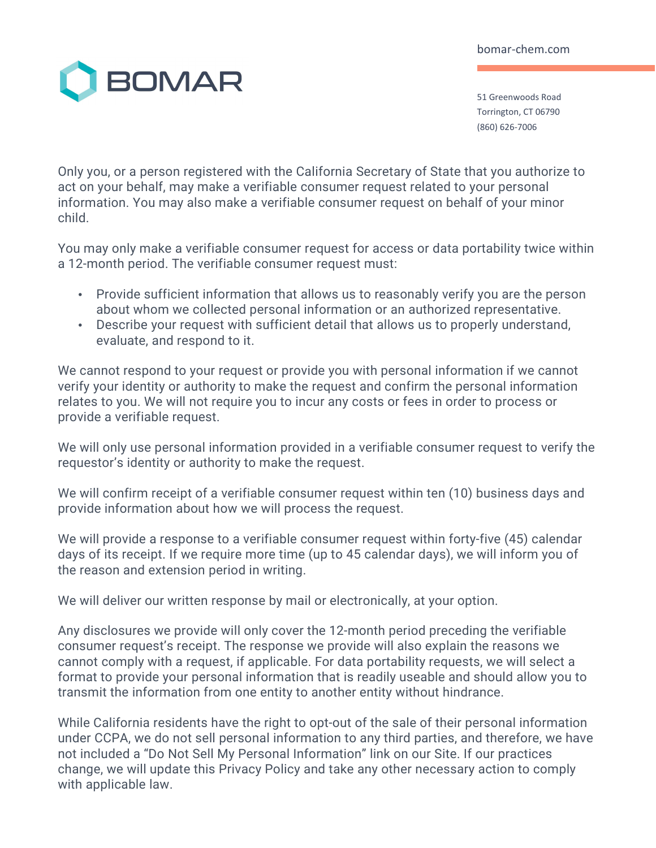

51 Greenwoods Road Torrington, CT 06790 (860) 626-7006

Only you, or a person registered with the California Secretary of State that you authorize to act on your behalf, may make a verifiable consumer request related to your personal information. You may also make a verifiable consumer request on behalf of your minor child.

You may only make a verifiable consumer request for access or data portability twice within a 12-month period. The verifiable consumer request must:

- Provide sufficient information that allows us to reasonably verify you are the person about whom we collected personal information or an authorized representative.
- Describe your request with sufficient detail that allows us to properly understand, evaluate, and respond to it.

We cannot respond to your request or provide you with personal information if we cannot verify your identity or authority to make the request and confirm the personal information relates to you. We will not require you to incur any costs or fees in order to process or provide a verifiable request.

We will only use personal information provided in a verifiable consumer request to verify the requestor's identity or authority to make the request.

We will confirm receipt of a verifiable consumer request within ten (10) business days and provide information about how we will process the request.

We will provide a response to a verifiable consumer request within forty-five (45) calendar days of its receipt. If we require more time (up to 45 calendar days), we will inform you of the reason and extension period in writing.

We will deliver our written response by mail or electronically, at your option.

Any disclosures we provide will only cover the 12-month period preceding the verifiable consumer request's receipt. The response we provide will also explain the reasons we cannot comply with a request, if applicable. For data portability requests, we will select a format to provide your personal information that is readily useable and should allow you to transmit the information from one entity to another entity without hindrance.

While California residents have the right to opt-out of the sale of their personal information under CCPA, we do not sell personal information to any third parties, and therefore, we have not included a "Do Not Sell My Personal Information" link on our Site. If our practices change, we will update this Privacy Policy and take any other necessary action to comply with applicable law.